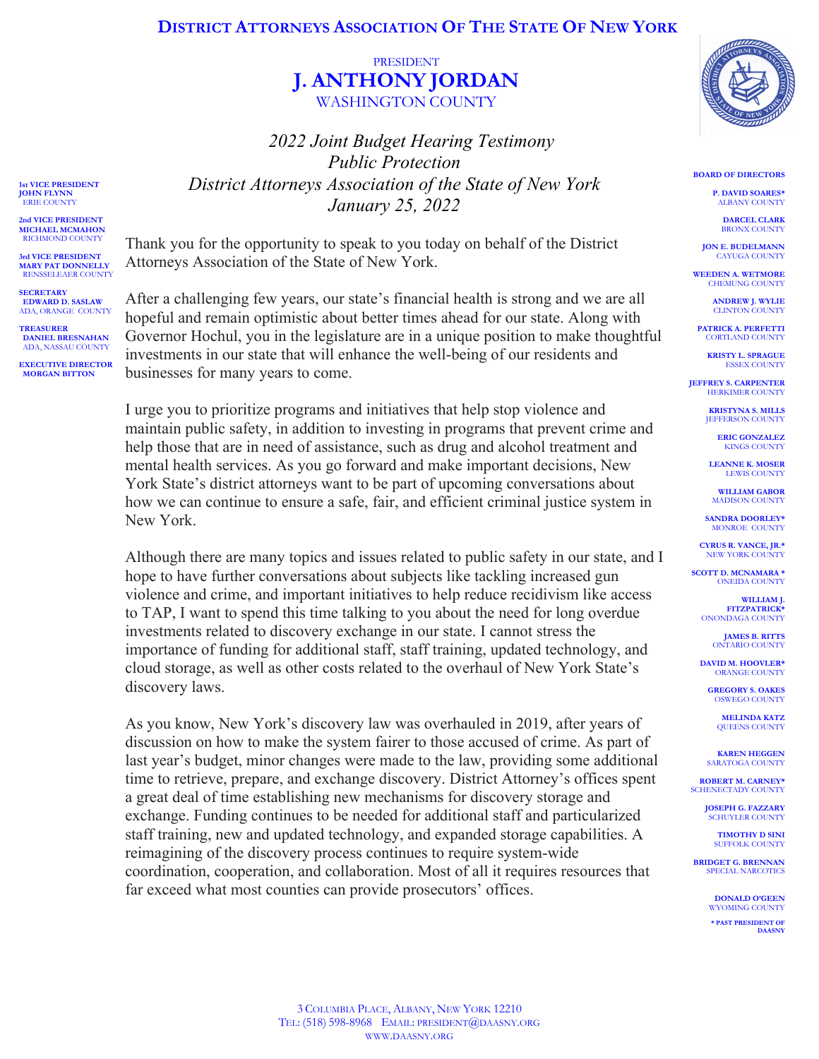## **DISTRICT ATTORNEYS ASSOCIATION OF THE STATE OF NEW YORK**

## PRESIDENT **J. ANTHONY JORDAN** WASHINGTON COUNTY

*2022 Joint Budget Hearing Testimony Public Protection District Attorneys Association of the State of New York January 25, 2022*

Thank you for the opportunity to speak to you today on behalf of the District Attorneys Association of the State of New York.

**1st VICE PRESIDENT JOHN FLYNN** ERIE COUNT **2nd VICE PRESIDENT MICHAEL MCMAHON** RICHMOND COUNTY **3rd VICE PRESIDENT MARY PAT DONNELLY** RENSSELEAER COUNTY

**SECRETARY EDWARD D. SASLAW** ADA, ORANGE COUNTY

**TREASURER DANIEL BRESNAHAN** ADA, NASSAU COUNTY **EXECUTIVE DIRECTOR MORGAN BITTON**

After a challenging few years, our state's financial health is strong and we are all hopeful and remain optimistic about better times ahead for our state. Along with Governor Hochul, you in the legislature are in a unique position to make thoughtful investments in our state that will enhance the well-being of our residents and businesses for many years to come.

I urge you to prioritize programs and initiatives that help stop violence and maintain public safety, in addition to investing in programs that prevent crime and help those that are in need of assistance, such as drug and alcohol treatment and mental health services. As you go forward and make important decisions, New York State's district attorneys want to be part of upcoming conversations about how we can continue to ensure a safe, fair, and efficient criminal justice system in New York.

Although there are many topics and issues related to public safety in our state, and I hope to have further conversations about subjects like tackling increased gun violence and crime, and important initiatives to help reduce recidivism like access to TAP, I want to spend this time talking to you about the need for long overdue investments related to discovery exchange in our state. I cannot stress the importance of funding for additional staff, staff training, updated technology, and cloud storage, as well as other costs related to the overhaul of New York State's discovery laws.

As you know, New York's discovery law was overhauled in 2019, after years of discussion on how to make the system fairer to those accused of crime. As part of last year's budget, minor changes were made to the law, providing some additional time to retrieve, prepare, and exchange discovery. District Attorney's offices spent a great deal of time establishing new mechanisms for discovery storage and exchange. Funding continues to be needed for additional staff and particularized staff training, new and updated technology, and expanded storage capabilities. A reimagining of the discovery process continues to require system-wide coordination, cooperation, and collaboration. Most of all it requires resources that far exceed what most counties can provide prosecutors' offices.



**BOARD OF DIRECTORS**

**P. DAVID SOARES\*** ALBANY COUNTY

**DARCEL CLARK** BRONX COUNTY

**JON E. BUDELMANN** CAYUGA COUNTY

**WEEDEN A. WETMORE** CHEMUNG COUNTY

> **ANDREW J. WYLIE CLINTON COUNTY**

**PATRICK A. PERFETTI** CORTLAND COUNTY

**KRISTY L. SPRAGUE** ESSEX COUNTY

**JEFFREY S. CARPENTER HERKIMER COUNTY** 

> **KRISTYNA S. MILLS IEFFERSON COUNTY**

> > **ERIC GONZALEZ** KINGS COUNTY

**LEANNE K. MOSER** LEWIS COUNTY

**WILLIAM GABOR** MADISON COUNTY

**SANDRA DOORLEY\*** MONROE COUNTY

**CYRUS R. VANCE, JR.\*** NEW YORK COUNTY

**SCOTT D. MCNAMARA \*** ONEIDA COUNTY

> **WILLIAM J. FITZPATRICK\*** ONONDAGA COUNTY

> > **JAMES B. RITTS** ONTARIO COUNTY

**DAVID M. HOOVLER\*** ORANGE COUNTY

**GREGORY S. OAKES** OSWEGO COUNTY

**MELINDA KATZ** QUEENS COUNTY

**KAREN HEGGEN SARATOGA COUNTY** 

**ROBERT M. CARNEY\*** SCHENECTADY COUNTY

> **JOSEPH G. FAZZARY** SCHUYLER COUNTY

**TIMOTHY D SINI** SUFFOLK COUNT

**BRIDGET G. BRENNAN** SPECIAL NARCOTICS

> **DONALD O'GEEN** WYOMING COUNTY **\* PAST PRESIDENT OF**

**DAASNY**

3 COLUMBIA PLACE, ALBANY, NEW YORK 12210 TEL: (518) 598-8968 EMAIL: PRESIDENT@DAASNY.ORG WWW.DAASNY.ORG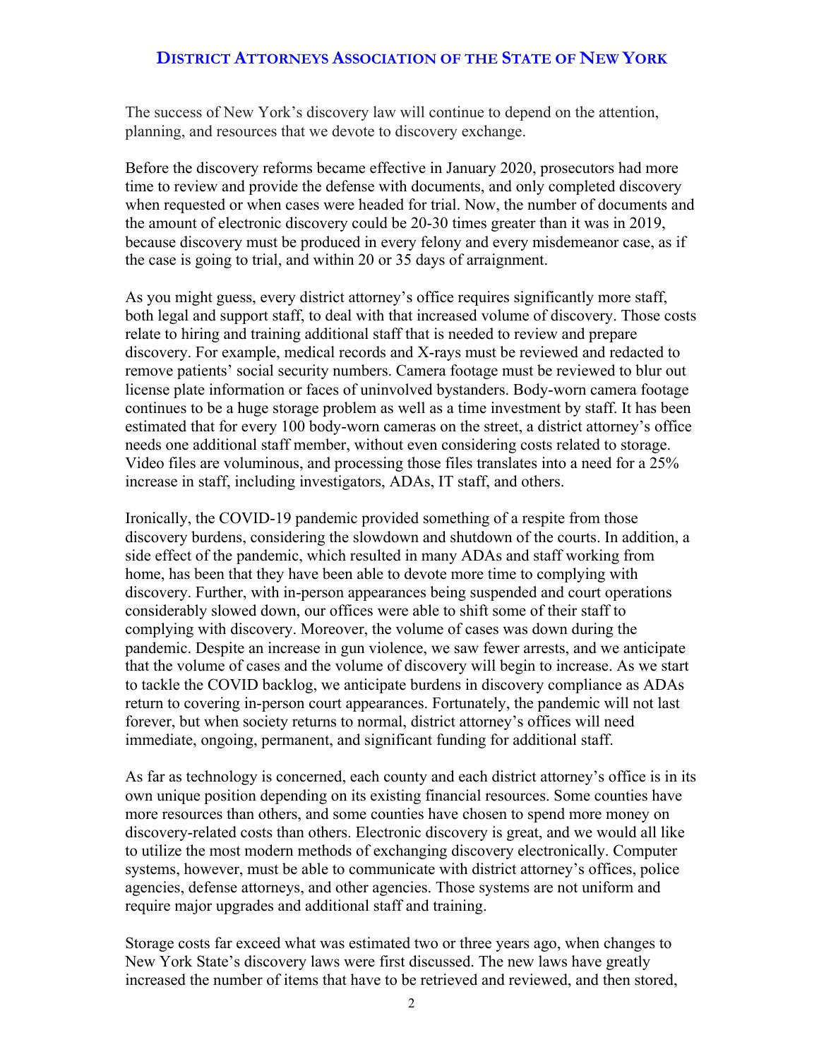## **DISTRICT ATTORNEYS ASSOCIATION OF THE STATE OF NEW YORK**

The success of New York's discovery law will continue to depend on the attention, planning, and resources that we devote to discovery exchange.

Before the discovery reforms became effective in January 2020, prosecutors had more time to review and provide the defense with documents, and only completed discovery when requested or when cases were headed for trial. Now, the number of documents and the amount of electronic discovery could be 20-30 times greater than it was in 2019, because discovery must be produced in every felony and every misdemeanor case, as if the case is going to trial, and within 20 or 35 days of arraignment.

As you might guess, every district attorney's office requires significantly more staff, both legal and support staff, to deal with that increased volume of discovery. Those costs relate to hiring and training additional staff that is needed to review and prepare discovery. For example, medical records and X-rays must be reviewed and redacted to remove patients' social security numbers. Camera footage must be reviewed to blur out license plate information or faces of uninvolved bystanders. Body-worn camera footage continues to be a huge storage problem as well as a time investment by staff. It has been estimated that for every 100 body-worn cameras on the street, a district attorney's office needs one additional staff member, without even considering costs related to storage. Video files are voluminous, and processing those files translates into a need for a 25% increase in staff, including investigators, ADAs, IT staff, and others.

Ironically, the COVID-19 pandemic provided something of a respite from those discovery burdens, considering the slowdown and shutdown of the courts. In addition, a side effect of the pandemic, which resulted in many ADAs and staff working from home, has been that they have been able to devote more time to complying with discovery. Further, with in-person appearances being suspended and court operations considerably slowed down, our offices were able to shift some of their staff to complying with discovery. Moreover, the volume of cases was down during the pandemic. Despite an increase in gun violence, we saw fewer arrests, and we anticipate that the volume of cases and the volume of discovery will begin to increase. As we start to tackle the COVID backlog, we anticipate burdens in discovery compliance as ADAs return to covering in-person court appearances. Fortunately, the pandemic will not last forever, but when society returns to normal, district attorney's offices will need immediate, ongoing, permanent, and significant funding for additional staff.

As far as technology is concerned, each county and each district attorney's office is in its own unique position depending on its existing financial resources. Some counties have more resources than others, and some counties have chosen to spend more money on discovery-related costs than others. Electronic discovery is great, and we would all like to utilize the most modern methods of exchanging discovery electronically. Computer systems, however, must be able to communicate with district attorney's offices, police agencies, defense attorneys, and other agencies. Those systems are not uniform and require major upgrades and additional staff and training.

Storage costs far exceed what was estimated two or three years ago, when changes to New York State's discovery laws were first discussed. The new laws have greatly increased the number of items that have to be retrieved and reviewed, and then stored,